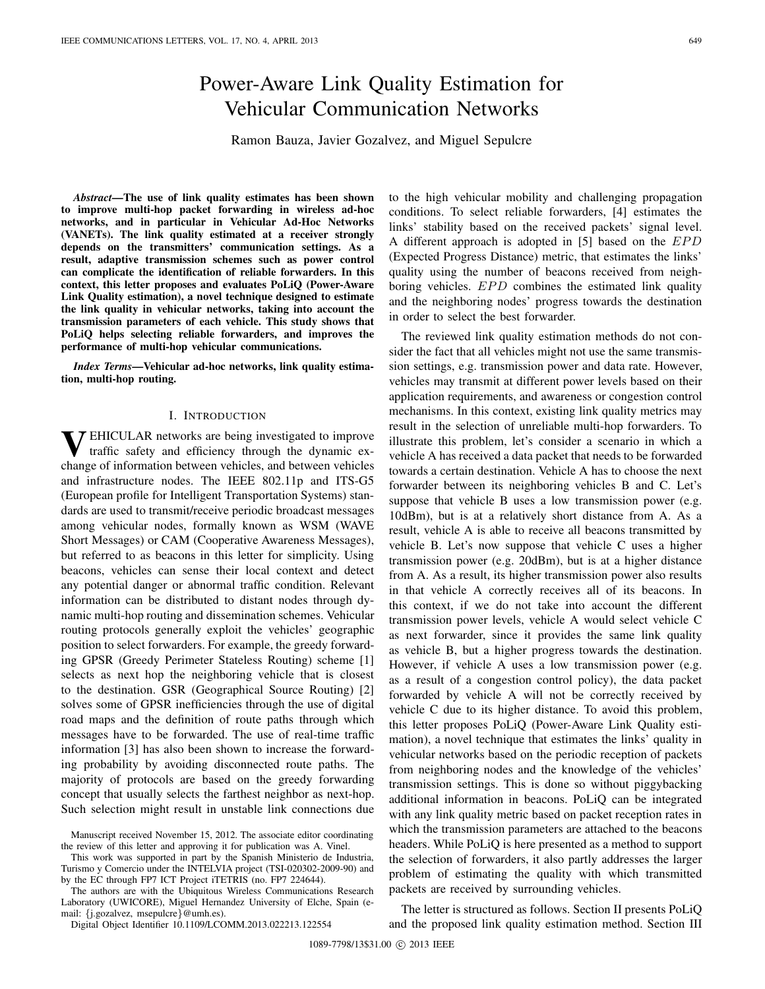# Power-Aware Link Quality Estimation for Vehicular Communication Networks

Ramon Bauza, Javier Gozalvez, and Miguel Sepulcre

*Abstract***—The use of link quality estimates has been shown to improve multi-hop packet forwarding in wireless ad-hoc networks, and in particular in Vehicular Ad-Hoc Networks (VANETs). The link quality estimated at a receiver strongly depends on the transmitters' communication settings. As a result, adaptive transmission schemes such as power control can complicate the identification of reliable forwarders. In this context, this letter proposes and evaluates PoLiQ (Power-Aware Link Quality estimation), a novel technique designed to estimate the link quality in vehicular networks, taking into account the transmission parameters of each vehicle. This study shows that PoLiQ helps selecting reliable forwarders, and improves the performance of multi-hop vehicular communications.**

*Index Terms***—Vehicular ad-hoc networks, link quality estimation, multi-hop routing.**

## I. INTRODUCTION

**V**EHICULAR networks are being investigated to improve traffic safety and efficiency through the dynamic exchange of information between vehicles, and between vehicles and infrastructure nodes. The IEEE 802.11p and ITS-G5 (European profile for Intelligent Transportation Systems) standards are used to transmit/receive periodic broadcast messages among vehicular nodes, formally known as WSM (WAVE Short Messages) or CAM (Cooperative Awareness Messages), but referred to as beacons in this letter for simplicity. Using beacons, vehicles can sense their local context and detect any potential danger or abnormal traffic condition. Relevant information can be distributed to distant nodes through dynamic multi-hop routing and dissemination schemes. Vehicular routing protocols generally exploit the vehicles' geographic position to select forwarders. For example, the greedy forwarding GPSR (Greedy Perimeter Stateless Routing) scheme [1] selects as next hop the neighboring vehicle that is closest to the destination. GSR (Geographical Source Routing) [2] solves some of GPSR inefficiencies through the use of digital road maps and the definition of route paths through which messages have to be forwarded. The use of real-time traffic information [3] has also been shown to increase the forwarding probability by avoiding disconnected route paths. The majority of protocols are based on the greedy forwarding concept that usually selects the farthest neighbor as next-hop. Such selection might result in unstable link connections due

Manuscript received November 15, 2012. The associate editor coordinating the review of this letter and approving it for publication was A. Vinel.

This work was supported in part by the Spanish Ministerio de Industria, Turismo y Comercio under the INTELVIA project (TSI-020302-2009-90) and by the EC through FP7 ICT Project iTETRIS (no. FP7 224644).

The authors are with the Ubiquitous Wireless Communications Research Laboratory (UWICORE), Miguel Hernandez University of Elche, Spain (email: {j.gozalvez, msepulcre}@umh.es).

Digital Object Identifier 10.1109/LCOMM.2013.022213.122554

to the high vehicular mobility and challenging propagation conditions. To select reliable forwarders, [4] estimates the links' stability based on the received packets' signal level. A different approach is adopted in [5] based on the EPD (Expected Progress Distance) metric, that estimates the links' quality using the number of beacons received from neighboring vehicles. EPD combines the estimated link quality and the neighboring nodes' progress towards the destination in order to select the best forwarder.

The reviewed link quality estimation methods do not consider the fact that all vehicles might not use the same transmission settings, e.g. transmission power and data rate. However, vehicles may transmit at different power levels based on their application requirements, and awareness or congestion control mechanisms. In this context, existing link quality metrics may result in the selection of unreliable multi-hop forwarders. To illustrate this problem, let's consider a scenario in which a vehicle A has received a data packet that needs to be forwarded towards a certain destination. Vehicle A has to choose the next forwarder between its neighboring vehicles B and C. Let's suppose that vehicle B uses a low transmission power (e.g. 10dBm), but is at a relatively short distance from A. As a result, vehicle A is able to receive all beacons transmitted by vehicle B. Let's now suppose that vehicle C uses a higher transmission power (e.g. 20dBm), but is at a higher distance from A. As a result, its higher transmission power also results in that vehicle A correctly receives all of its beacons. In this context, if we do not take into account the different transmission power levels, vehicle A would select vehicle C as next forwarder, since it provides the same link quality as vehicle B, but a higher progress towards the destination. However, if vehicle A uses a low transmission power (e.g. as a result of a congestion control policy), the data packet forwarded by vehicle A will not be correctly received by vehicle C due to its higher distance. To avoid this problem, this letter proposes PoLiQ (Power-Aware Link Quality estimation), a novel technique that estimates the links' quality in vehicular networks based on the periodic reception of packets from neighboring nodes and the knowledge of the vehicles' transmission settings. This is done so without piggybacking additional information in beacons. PoLiQ can be integrated with any link quality metric based on packet reception rates in which the transmission parameters are attached to the beacons headers. While PoLiQ is here presented as a method to support the selection of forwarders, it also partly addresses the larger problem of estimating the quality with which transmitted packets are received by surrounding vehicles.

The letter is structured as follows. Section II presents PoLiQ and the proposed link quality estimation method. Section III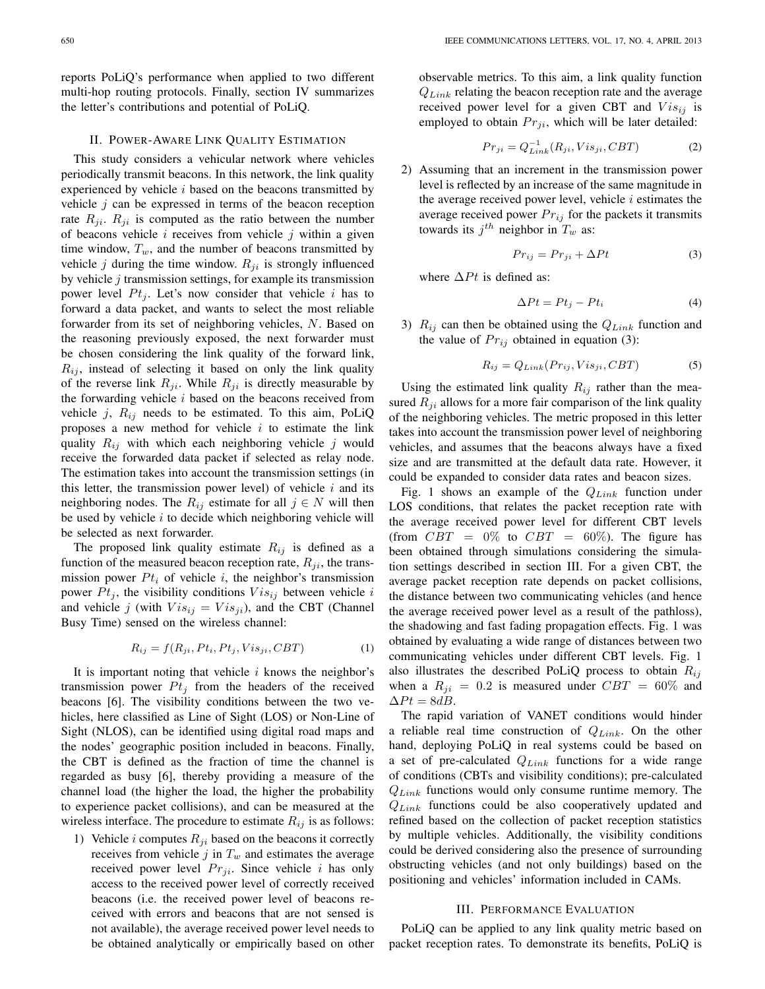reports PoLiQ's performance when applied to two different multi-hop routing protocols. Finally, section IV summarizes the letter's contributions and potential of PoLiQ.

## II. POWER-AWARE LINK QUALITY ESTIMATION

This study considers a vehicular network where vehicles periodically transmit beacons. In this network, the link quality experienced by vehicle  $i$  based on the beacons transmitted by vehicle  $j$  can be expressed in terms of the beacon reception rate  $R_{ji}$ .  $R_{ji}$  is computed as the ratio between the number of beacons vehicle  $i$  receives from vehicle  $j$  within a given time window,  $T_w$ , and the number of beacons transmitted by vehicle  $j$  during the time window.  $R_{ji}$  is strongly influenced by vehicle  $j$  transmission settings, for example its transmission power level  $Pt_j$ . Let's now consider that vehicle i has to forward a data packet, and wants to select the most reliable forwarder from its set of neighboring vehicles, N. Based on the reasoning previously exposed, the next forwarder must be chosen considering the link quality of the forward link,  $R_{ij}$ , instead of selecting it based on only the link quality of the reverse link  $R_{ji}$ . While  $R_{ji}$  is directly measurable by the forwarding vehicle  $i$  based on the beacons received from vehicle  $j$ ,  $R_{ij}$  needs to be estimated. To this aim, PoLiQ proposes a new method for vehicle  $i$  to estimate the link quality  $R_{ij}$  with which each neighboring vehicle j would receive the forwarded data packet if selected as relay node. The estimation takes into account the transmission settings (in this letter, the transmission power level) of vehicle  $i$  and its neighboring nodes. The  $R_{ij}$  estimate for all  $j \in N$  will then be used by vehicle  $i$  to decide which neighboring vehicle will be selected as next forwarder.

The proposed link quality estimate  $R_{ij}$  is defined as a function of the measured beacon reception rate,  $R_{ji}$ , the transmission power  $Pt_i$  of vehicle i, the neighbor's transmission power  $Pt_j$ , the visibility conditions  $Vis_{ij}$  between vehicle i and vehicle j (with  $Vis_{ij} = Vis_{ji}$ ), and the CBT (Channel Busy Time) sensed on the wireless channel:

$$
R_{ij} = f(R_{ji}, Pt_i, Pt_j, Vis_{ji}, CBT)
$$
 (1)

It is important noting that vehicle  $i$  knows the neighbor's transmission power  $Pt<sub>j</sub>$  from the headers of the received beacons [6]. The visibility conditions between the two vehicles, here classified as Line of Sight (LOS) or Non-Line of Sight (NLOS), can be identified using digital road maps and the nodes' geographic position included in beacons. Finally, the CBT is defined as the fraction of time the channel is regarded as busy [6], thereby providing a measure of the channel load (the higher the load, the higher the probability to experience packet collisions), and can be measured at the wireless interface. The procedure to estimate  $R_{ij}$  is as follows:

1) Vehicle *i* computes  $R_{ji}$  based on the beacons it correctly receives from vehicle  $j$  in  $T_w$  and estimates the average received power level  $Pr_{ii}$ . Since vehicle i has only access to the received power level of correctly received beacons (i.e. the received power level of beacons received with errors and beacons that are not sensed is not available), the average received power level needs to be obtained analytically or empirically based on other observable metrics. To this aim, a link quality function Q*Link* relating the beacon reception rate and the average received power level for a given CBT and  $Vis_{ij}$  is employed to obtain  $Pr_{ji}$ , which will be later detailed:

$$
Pr_{ji} = Q_{Link}^{-1}(R_{ji}, Vis_{ji}, CBT)
$$
 (2)

2) Assuming that an increment in the transmission power level is reflected by an increase of the same magnitude in the average received power level, vehicle  $i$  estimates the average received power  $Pr_{ij}$  for the packets it transmits towards its  $j^{th}$  neighbor in  $T_w$  as:

$$
Pr_{ij} = Pr_{ji} + \Delta Pt \tag{3}
$$

where  $\Delta P t$  is defined as:

$$
\Delta P t = P t_j - P t_i \tag{4}
$$

3) R*ij* can then be obtained using the Q*Link* function and the value of  $Pr_{ij}$  obtained in equation (3):

$$
R_{ij} = Q_{Link}(Pr_{ij}, Vis_{ji}, CBT)
$$
 (5)

Using the estimated link quality  $R_{ij}$  rather than the measured  $R_{ji}$  allows for a more fair comparison of the link quality of the neighboring vehicles. The metric proposed in this letter takes into account the transmission power level of neighboring vehicles, and assumes that the beacons always have a fixed size and are transmitted at the default data rate. However, it could be expanded to consider data rates and beacon sizes.

Fig. 1 shows an example of the Q*Link* function under LOS conditions, that relates the packet reception rate with the average received power level for different CBT levels (from  $CBT = 0\%$  to  $CBT = 60\%$ ). The figure has been obtained through simulations considering the simulation settings described in section III. For a given CBT, the average packet reception rate depends on packet collisions, the distance between two communicating vehicles (and hence the average received power level as a result of the pathloss), the shadowing and fast fading propagation effects. Fig. 1 was obtained by evaluating a wide range of distances between two communicating vehicles under different CBT levels. Fig. 1 also illustrates the described PoLiQ process to obtain R*ij* when a  $R_{ji} = 0.2$  is measured under  $CBT = 60\%$  and  $\Delta Pt = 8dB$ .

The rapid variation of VANET conditions would hinder a reliable real time construction of Q*Link*. On the other hand, deploying PoLiQ in real systems could be based on a set of pre-calculated Q*Link* functions for a wide range of conditions (CBTs and visibility conditions); pre-calculated Q*Link* functions would only consume runtime memory. The Q*Link* functions could be also cooperatively updated and refined based on the collection of packet reception statistics by multiple vehicles. Additionally, the visibility conditions could be derived considering also the presence of surrounding obstructing vehicles (and not only buildings) based on the positioning and vehicles' information included in CAMs.

## III. PERFORMANCE EVALUATION

PoLiQ can be applied to any link quality metric based on packet reception rates. To demonstrate its benefits, PoLiQ is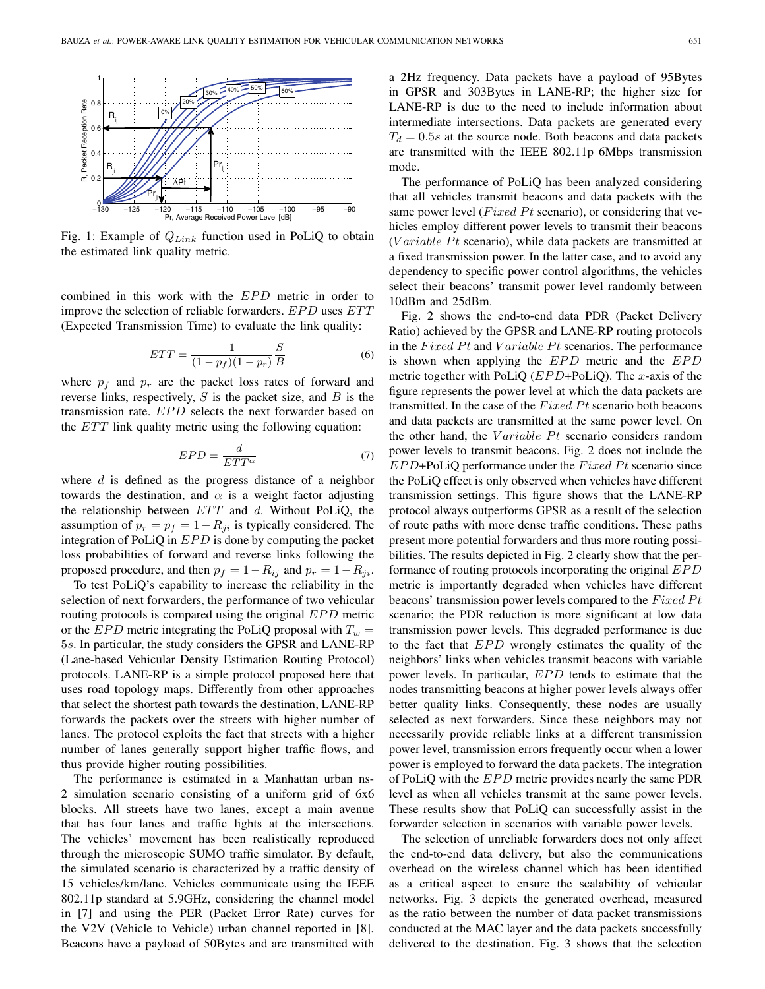

Fig. 1: Example of Q*Link* function used in PoLiQ to obtain the estimated link quality metric.

combined in this work with the EPD metric in order to improve the selection of reliable forwarders. EPD uses ETT (Expected Transmission Time) to evaluate the link quality:

$$
ETT = \frac{1}{(1 - p_f)(1 - p_r)} \frac{S}{B}
$$
 (6)

where  $p_f$  and  $p_r$  are the packet loss rates of forward and reverse links, respectively,  $S$  is the packet size, and  $B$  is the transmission rate. EPD selects the next forwarder based on the ETT link quality metric using the following equation:

$$
EPD = \frac{d}{ETT^{\alpha}}\tag{7}
$$

where  $d$  is defined as the progress distance of a neighbor towards the destination, and  $\alpha$  is a weight factor adjusting the relationship between  $ETT$  and d. Without PoLiQ, the assumption of  $p_r = p_f = 1 - R_{ji}$  is typically considered. The integration of PoLiQ in EPD is done by computing the packet loss probabilities of forward and reverse links following the proposed procedure, and then  $p_f = 1 - R_{ij}$  and  $p_r = 1 - R_{ji}$ .

To test PoLiQ's capability to increase the reliability in the selection of next forwarders, the performance of two vehicular routing protocols is compared using the original EPD metric or the *EPD* metric integrating the PoLiQ proposal with  $T_w =$ 5s. In particular, the study considers the GPSR and LANE-RP (Lane-based Vehicular Density Estimation Routing Protocol) protocols. LANE-RP is a simple protocol proposed here that uses road topology maps. Differently from other approaches that select the shortest path towards the destination, LANE-RP forwards the packets over the streets with higher number of lanes. The protocol exploits the fact that streets with a higher number of lanes generally support higher traffic flows, and thus provide higher routing possibilities.

The performance is estimated in a Manhattan urban ns-2 simulation scenario consisting of a uniform grid of 6x6 blocks. All streets have two lanes, except a main avenue that has four lanes and traffic lights at the intersections. The vehicles' movement has been realistically reproduced through the microscopic SUMO traffic simulator. By default, the simulated scenario is characterized by a traffic density of 15 vehicles/km/lane. Vehicles communicate using the IEEE 802.11p standard at 5.9GHz, considering the channel model in [7] and using the PER (Packet Error Rate) curves for the V2V (Vehicle to Vehicle) urban channel reported in [8]. Beacons have a payload of 50Bytes and are transmitted with a 2Hz frequency. Data packets have a payload of 95Bytes in GPSR and 303Bytes in LANE-RP; the higher size for LANE-RP is due to the need to include information about intermediate intersections. Data packets are generated every  $T_d = 0.5s$  at the source node. Both beacons and data packets are transmitted with the IEEE 802.11p 6Mbps transmission mode.

The performance of PoLiQ has been analyzed considering that all vehicles transmit beacons and data packets with the same power level ( $Fixed Pt$  scenario), or considering that vehicles employ different power levels to transmit their beacons (V $ariable$   $Pt$  scenario), while data packets are transmitted at a fixed transmission power. In the latter case, and to avoid any dependency to specific power control algorithms, the vehicles select their beacons' transmit power level randomly between 10dBm and 25dBm.

Fig. 2 shows the end-to-end data PDR (Packet Delivery Ratio) achieved by the GPSR and LANE-RP routing protocols in the  $Fixed Pt$  and  $Variable Pt$  scenarios. The performance is shown when applying the EPD metric and the EPD metric together with PoLiQ  $(EPD+PoliQ)$ . The x-axis of the figure represents the power level at which the data packets are transmitted. In the case of the  $Fixed$   $Pt$  scenario both beacons and data packets are transmitted at the same power level. On the other hand, the  $Variable$   $Pt$  scenario considers random power levels to transmit beacons. Fig. 2 does not include the  $EPD+Pol$ -PoLiQ performance under the  $Fixed$  Pt scenario since the PoLiQ effect is only observed when vehicles have different transmission settings. This figure shows that the LANE-RP protocol always outperforms GPSR as a result of the selection of route paths with more dense traffic conditions. These paths present more potential forwarders and thus more routing possibilities. The results depicted in Fig. 2 clearly show that the performance of routing protocols incorporating the original EPD metric is importantly degraded when vehicles have different beacons' transmission power levels compared to the  $FixedPt$ scenario; the PDR reduction is more significant at low data transmission power levels. This degraded performance is due to the fact that EPD wrongly estimates the quality of the neighbors' links when vehicles transmit beacons with variable power levels. In particular, EPD tends to estimate that the nodes transmitting beacons at higher power levels always offer better quality links. Consequently, these nodes are usually selected as next forwarders. Since these neighbors may not necessarily provide reliable links at a different transmission power level, transmission errors frequently occur when a lower power is employed to forward the data packets. The integration of PoLiQ with the EPD metric provides nearly the same PDR level as when all vehicles transmit at the same power levels. These results show that PoLiQ can successfully assist in the forwarder selection in scenarios with variable power levels.

The selection of unreliable forwarders does not only affect the end-to-end data delivery, but also the communications overhead on the wireless channel which has been identified as a critical aspect to ensure the scalability of vehicular networks. Fig. 3 depicts the generated overhead, measured as the ratio between the number of data packet transmissions conducted at the MAC layer and the data packets successfully delivered to the destination. Fig. 3 shows that the selection